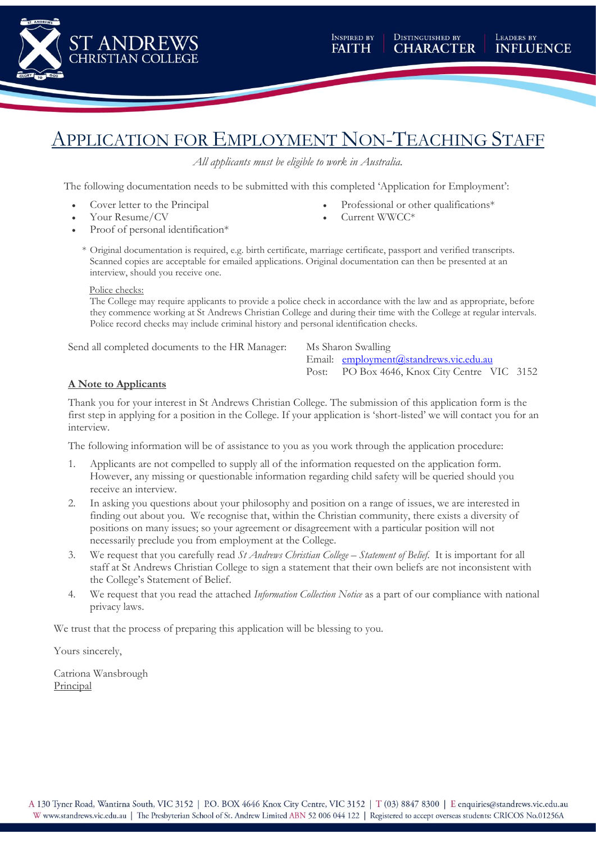

### APPLICATION FOR EMPLOYMENT NON-TEACHING STAFF

*All applicants must be eligible to work in Australia.*

The following documentation needs to be submitted with this completed 'Application for Employment':

Cover letter to the Principal

Proof of personal identification\*

Your Resume/CV

- Professional or other qualifications\*
- Current WWCC\*
- \* Original documentation is required, e.g. birth certificate, marriage certificate, passport and verified transcripts. Scanned copies are acceptable for emailed applications. Original documentation can then be presented at an interview, should you receive one.

#### Police checks:

The College may require applicants to provide a police check in accordance with the law and as appropriate, before they commence working at St Andrews Christian College and during their time with the College at regular intervals. Police record checks may include criminal history and personal identification checks.

Send all completed documents to the HR Manager: Ms Sharon Swalling

Email: [employment@standrews.vic.edu.au](mailto:employment@standrews.vic.edu.au) Post: PO Box 4646, Knox City Centre VIC 3152

#### **A Note to Applicants**

Thank you for your interest in St Andrews Christian College. The submission of this application form is the first step in applying for a position in the College. If your application is 'short-listed' we will contact you for an interview.

The following information will be of assistance to you as you work through the application procedure:

- 1. Applicants are not compelled to supply all of the information requested on the application form. However, any missing or questionable information regarding child safety will be queried should you receive an interview.
- 2. In asking you questions about your philosophy and position on a range of issues, we are interested in finding out about you. We recognise that, within the Christian community, there exists a diversity of positions on many issues; so your agreement or disagreement with a particular position will not necessarily preclude you from employment at the College.
- 3. We request that you carefully read *St Andrews Christian College – Statement of Belief*. It is important for all staff at St Andrews Christian College to sign a statement that their own beliefs are not inconsistent with the College's Statement of Belief.
- 4. We request that you read the attached *Information Collection Notice* as a part of our compliance with national privacy laws.

We trust that the process of preparing this application will be blessing to you.

Yours sincerely,

Catriona Wansbrough Principal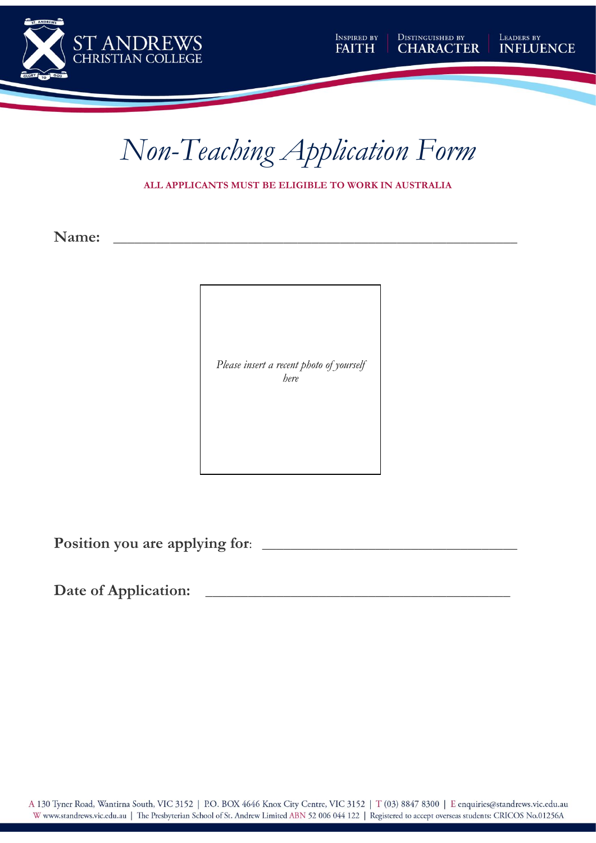



**ALL APPLICANTS MUST BE ELIGIBLE TO WORK IN AUSTRALIA**

**Name: \_\_\_\_\_\_\_\_\_\_\_\_\_\_\_\_\_\_\_\_\_\_\_\_\_\_\_\_\_\_\_\_\_\_\_\_\_\_\_\_\_\_\_\_\_\_\_\_\_\_\_\_\_\_\_\_\_**

*Please insert a recent photo of yourself here*

**Position you are applying for:** 

**Date of Application:** \_\_\_\_\_\_\_\_\_\_\_\_\_\_\_\_\_\_\_\_\_\_\_\_\_\_\_\_\_\_\_\_\_\_\_\_\_\_\_\_\_\_\_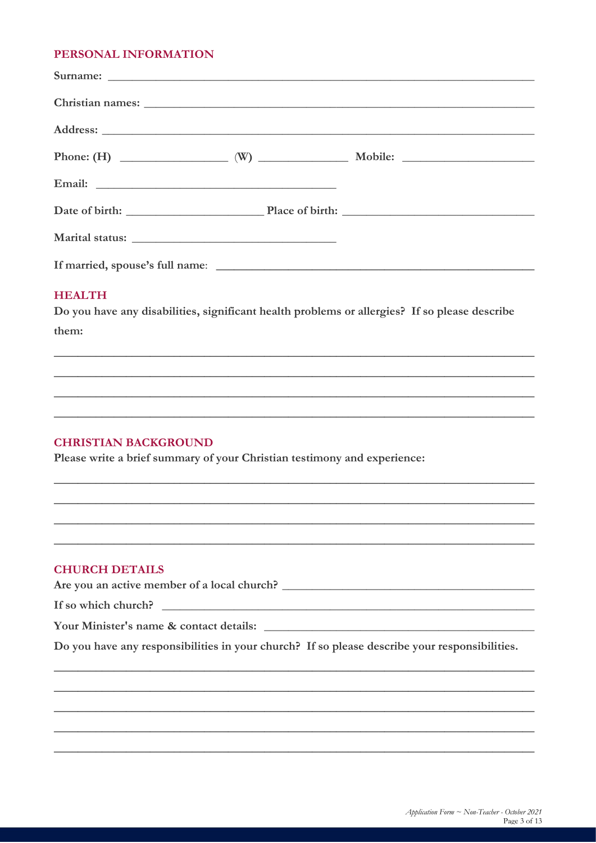#### PERSONAL INFORMATION

#### **HEALTH**

Do you have any disabilities, significant health problems or allergies? If so please describe them:

#### **CHRISTIAN BACKGROUND**

Please write a brief summary of your Christian testimony and experience:

#### **CHURCH DETAILS**

Are you an active member of a local church?

If so which church?

Your Minister's name & contact details:

Do you have any responsibilities in your church? If so please describe your responsibilities.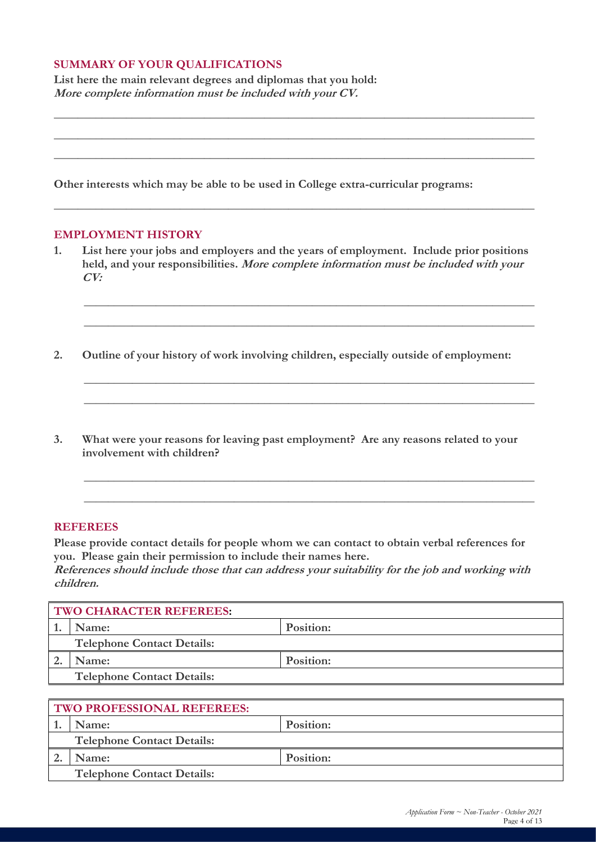#### **SUMMARY OF YOUR QUALIFICATIONS**

**List here the main relevant degrees and diplomas that you hold: More complete information must be included with your CV.**

**Other interests which may be able to be used in College extra-curricular programs:**

#### **EMPLOYMENT HISTORY**

**1. List here your jobs and employers and the years of employment. Include prior positions held, and your responsibilities. More complete information must be included with your CV:**

**\_\_\_\_\_\_\_\_\_\_\_\_\_\_\_\_\_\_\_\_\_\_\_\_\_\_\_\_\_\_\_\_\_\_\_\_\_\_\_\_\_\_\_\_\_\_\_\_\_\_\_\_\_\_\_\_\_\_\_\_\_\_\_\_\_\_\_\_\_\_\_\_\_\_\_**

**\_\_\_\_\_\_\_\_\_\_\_\_\_\_\_\_\_\_\_\_\_\_\_\_\_\_\_\_\_\_\_\_\_\_\_\_\_\_\_\_\_\_\_\_\_\_\_\_\_\_\_\_\_\_\_\_\_\_\_\_\_\_\_\_\_\_\_\_\_\_\_\_\_\_\_**

**\_\_\_\_\_\_\_\_\_\_\_\_\_\_\_\_\_\_\_\_\_\_\_\_\_\_\_\_\_\_\_\_\_\_\_\_\_\_\_\_\_\_\_\_\_\_\_\_\_\_\_\_\_\_\_\_\_\_\_\_\_\_\_\_\_\_\_\_\_\_\_\_\_\_\_**

**\_\_\_\_\_\_\_\_\_\_\_\_\_\_\_\_\_\_\_\_\_\_\_\_\_\_\_\_\_\_\_\_\_\_\_\_\_\_\_\_\_\_\_\_\_\_\_\_\_\_\_\_\_\_\_\_\_\_\_\_\_\_\_\_\_\_\_\_\_\_\_\_\_\_\_**

**\_\_\_\_\_\_\_\_\_\_\_\_\_\_\_\_\_\_\_\_\_\_\_\_\_\_\_\_\_\_\_\_\_\_\_\_\_\_\_\_\_\_\_\_\_\_\_\_\_\_\_\_\_\_\_\_\_\_\_\_\_\_\_\_\_\_\_\_\_\_\_\_\_\_\_**

**\_\_\_\_\_\_\_\_\_\_\_\_\_\_\_\_\_\_\_\_\_\_\_\_\_\_\_\_\_\_\_\_\_\_\_\_\_\_\_\_\_\_\_\_\_\_\_\_\_\_\_\_\_\_\_\_\_\_\_\_\_\_\_\_\_\_\_\_\_\_\_\_\_\_\_**

**\_\_\_\_\_\_\_\_\_\_\_\_\_\_\_\_\_\_\_\_\_\_\_\_\_\_\_\_\_\_\_\_\_\_\_\_\_\_\_\_\_\_\_\_\_\_\_\_\_\_\_\_\_\_\_\_\_\_\_\_\_\_\_\_\_\_\_\_\_\_\_\_\_\_\_\_\_\_\_\_**

**\_\_\_\_\_\_\_\_\_\_\_\_\_\_\_\_\_\_\_\_\_\_\_\_\_\_\_\_\_\_\_\_\_\_\_\_\_\_\_\_\_\_\_\_\_\_\_\_\_\_\_\_\_\_\_\_\_\_\_\_\_\_\_\_\_\_\_\_\_\_\_\_\_\_\_\_\_\_\_\_**

**\_\_\_\_\_\_\_\_\_\_\_\_\_\_\_\_\_\_\_\_\_\_\_\_\_\_\_\_\_\_\_\_\_\_\_\_\_\_\_\_\_\_\_\_\_\_\_\_\_\_\_\_\_\_\_\_\_\_\_\_\_\_\_\_\_\_\_\_\_\_\_\_\_\_\_\_\_\_\_\_**

**\_\_\_\_\_\_\_\_\_\_\_\_\_\_\_\_\_\_\_\_\_\_\_\_\_\_\_\_\_\_\_\_\_\_\_\_\_\_\_\_\_\_\_\_\_\_\_\_\_\_\_\_\_\_\_\_\_\_\_\_\_\_\_\_\_\_\_\_\_\_\_\_\_\_\_\_\_\_\_\_**

**2. Outline of your history of work involving children, especially outside of employment:**

**3. What were your reasons for leaving past employment? Are any reasons related to your involvement with children?**

#### **REFEREES**

**Please provide contact details for people whom we can contact to obtain verbal references for you. Please gain their permission to include their names here.**

**References should include those that can address your suitability for the job and working with children.**

| <b>TWO CHARACTER REFEREES:</b> |                                   |           |  |  |
|--------------------------------|-----------------------------------|-----------|--|--|
|                                | Position:<br>Name:                |           |  |  |
|                                | <b>Telephone Contact Details:</b> |           |  |  |
|                                | Name:                             | Position: |  |  |
|                                | <b>Telephone Contact Details:</b> |           |  |  |

| <b>TWO PROFESSIONAL REFEREES:</b> |                                   |           |  |  |
|-----------------------------------|-----------------------------------|-----------|--|--|
|                                   | Name:                             | Position: |  |  |
| <b>Telephone Contact Details:</b> |                                   |           |  |  |
|                                   | Name:                             | Position: |  |  |
|                                   | <b>Telephone Contact Details:</b> |           |  |  |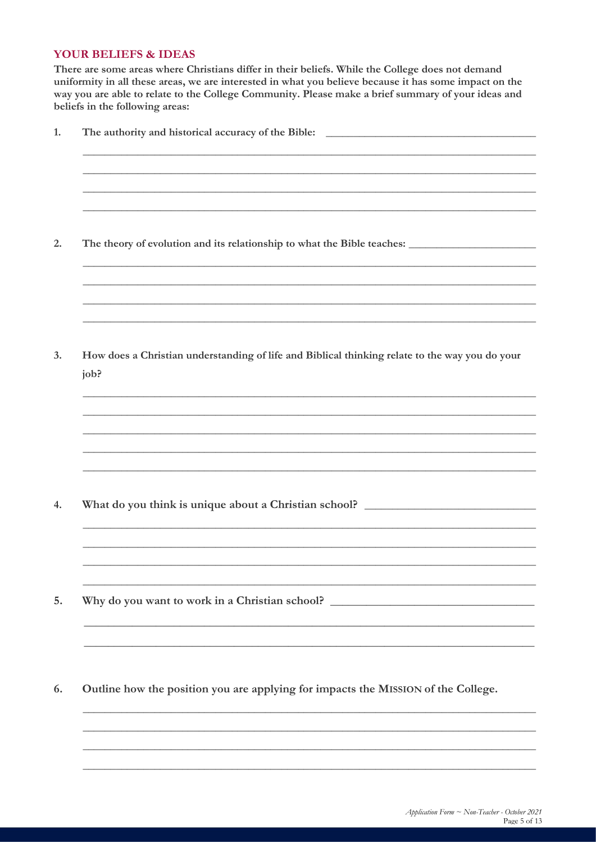#### **YOUR BELIEFS & IDEAS**

There are some areas where Christians differ in their beliefs. While the College does not demand uniformity in all these areas, we are interested in what you believe because it has some impact on the way you are able to relate to the College Community. Please make a brief summary of your ideas and beliefs in the following areas:

| How does a Christian understanding of life and Biblical thinking relate to the way you do your<br>job? |
|--------------------------------------------------------------------------------------------------------|
|                                                                                                        |
|                                                                                                        |
| What do you think is unique about a Christian school? ___________________________                      |
| Why do you want to work in a Christian school? _________________________________                       |
|                                                                                                        |

6. Outline how the position you are applying for impacts the MISSION of the College.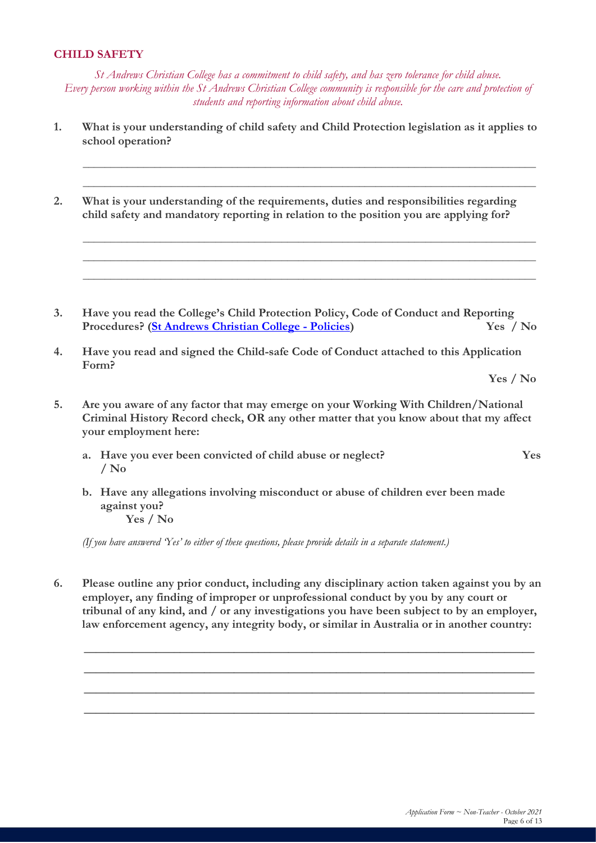#### **CHILD SAFETY**

*St Andrews Christian College has a commitment to child safety, and has zero tolerance for child abuse. Every person working within the St Andrews Christian College community is responsible for the care and protection of students and reporting information about child abuse.*

**1. What is your understanding of child safety and Child Protection legislation as it applies to school operation?**

**\_\_\_\_\_\_\_\_\_\_\_\_\_\_\_\_\_\_\_\_\_\_\_\_\_\_\_\_\_\_\_\_\_\_\_\_\_\_\_\_\_\_\_\_\_\_\_\_\_\_\_\_\_\_\_\_\_\_\_\_\_\_\_\_\_\_\_\_\_\_\_\_\_\_\_\_\_\_\_\_\_\_ \_\_\_\_\_\_\_\_\_\_\_\_\_\_\_\_\_\_\_\_\_\_\_\_\_\_\_\_\_\_\_\_\_\_\_\_\_\_\_\_\_\_\_\_\_\_\_\_\_\_\_\_\_\_\_\_\_\_\_\_\_\_\_\_\_\_\_\_\_\_\_\_\_\_\_\_\_\_\_\_\_\_**

**\_\_\_\_\_\_\_\_\_\_\_\_\_\_\_\_\_\_\_\_\_\_\_\_\_\_\_\_\_\_\_\_\_\_\_\_\_\_\_\_\_\_\_\_\_\_\_\_\_\_\_\_\_\_\_\_\_\_\_\_\_\_\_\_\_\_\_\_\_\_\_\_\_\_\_\_\_\_\_\_\_\_ \_\_\_\_\_\_\_\_\_\_\_\_\_\_\_\_\_\_\_\_\_\_\_\_\_\_\_\_\_\_\_\_\_\_\_\_\_\_\_\_\_\_\_\_\_\_\_\_\_\_\_\_\_\_\_\_\_\_\_\_\_\_\_\_\_\_\_\_\_\_\_\_\_\_\_\_\_\_\_\_\_\_ \_\_\_\_\_\_\_\_\_\_\_\_\_\_\_\_\_\_\_\_\_\_\_\_\_\_\_\_\_\_\_\_\_\_\_\_\_\_\_\_\_\_\_\_\_\_\_\_\_\_\_\_\_\_\_\_\_\_\_\_\_\_\_\_\_\_\_\_\_\_\_\_\_\_\_\_\_\_\_\_\_\_**

**2. What is your understanding of the requirements, duties and responsibilities regarding child safety and mandatory reporting in relation to the position you are applying for?**

**3. Have you read the College's Child Protection Policy, Code of Conduct and Reporting Procedures? [\(St Andrews Christian College -](https://standrews.vic.edu.au/wp-content/uploads/2015/06/Child-Protection-Policy-Code-of-Conduct-Procedures-v-6-11-11-20.pdf) Policies) Yes / No**

**4. Have you read and signed the Child-safe Code of Conduct attached to this Application Form?**

**Yes / No**

- **5. Are you aware of any factor that may emerge on your Working With Children/National Criminal History Record check, OR any other matter that you know about that my affect your employment here:**
	- **a. Have you ever been convicted of child abuse or neglect? Yes / No**
	- **b. Have any allegations involving misconduct or abuse of children ever been made against you? Yes / No**

*(If you have answered 'Yes' to either of these questions, please provide details in a separate statement.)*

**6. Please outline any prior conduct, including any disciplinary action taken against you by an employer, any finding of improper or unprofessional conduct by you by any court or tribunal of any kind, and / or any investigations you have been subject to by an employer, law enforcement agency, any integrity body, or similar in Australia or in another country:**

**\_\_\_\_\_\_\_\_\_\_\_\_\_\_\_\_\_\_\_\_\_\_\_\_\_\_\_\_\_\_\_\_\_\_\_\_\_\_\_\_\_\_\_\_\_\_\_\_\_\_\_\_\_\_\_\_\_\_\_\_\_\_\_\_\_\_\_\_\_\_\_\_\_\_\_**

**\_\_\_\_\_\_\_\_\_\_\_\_\_\_\_\_\_\_\_\_\_\_\_\_\_\_\_\_\_\_\_\_\_\_\_\_\_\_\_\_\_\_\_\_\_\_\_\_\_\_\_\_\_\_\_\_\_\_\_\_\_\_\_\_\_\_\_\_\_\_\_\_\_\_\_**

**\_\_\_\_\_\_\_\_\_\_\_\_\_\_\_\_\_\_\_\_\_\_\_\_\_\_\_\_\_\_\_\_\_\_\_\_\_\_\_\_\_\_\_\_\_\_\_\_\_\_\_\_\_\_\_\_\_\_\_\_\_\_\_\_\_\_\_\_\_\_\_\_\_\_\_**

**\_\_\_\_\_\_\_\_\_\_\_\_\_\_\_\_\_\_\_\_\_\_\_\_\_\_\_\_\_\_\_\_\_\_\_\_\_\_\_\_\_\_\_\_\_\_\_\_\_\_\_\_\_\_\_\_\_\_\_\_\_\_\_\_\_\_\_\_\_\_\_\_\_\_\_**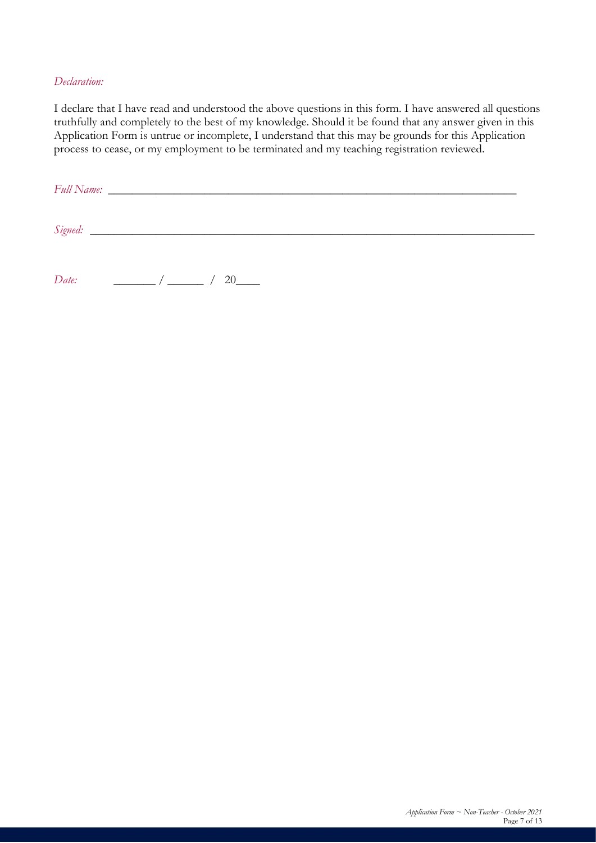#### *Declaration:*

I declare that I have read and understood the above questions in this form. I have answered all questions truthfully and completely to the best of my knowledge. Should it be found that any answer given in this Application Form is untrue or incomplete, I understand that this may be grounds for this Application process to cease, or my employment to be terminated and my teaching registration reviewed.

*Full Name:* \_\_\_\_\_\_\_\_\_\_\_\_\_\_\_\_\_\_\_\_\_\_\_\_\_\_\_\_\_\_\_\_\_\_\_\_\_\_\_\_\_\_\_\_\_\_\_\_\_\_\_\_\_\_\_\_\_\_\_\_\_\_\_\_\_\_\_\_ *Signed:* \_\_\_\_\_\_\_\_\_\_\_\_\_\_\_\_\_\_\_\_\_\_\_\_\_\_\_\_\_\_\_\_\_\_\_\_\_\_\_\_\_\_\_\_\_\_\_\_\_\_\_\_\_\_\_\_\_\_\_\_\_\_\_\_\_\_\_\_\_\_\_\_\_\_ *Date:*  $/ 20$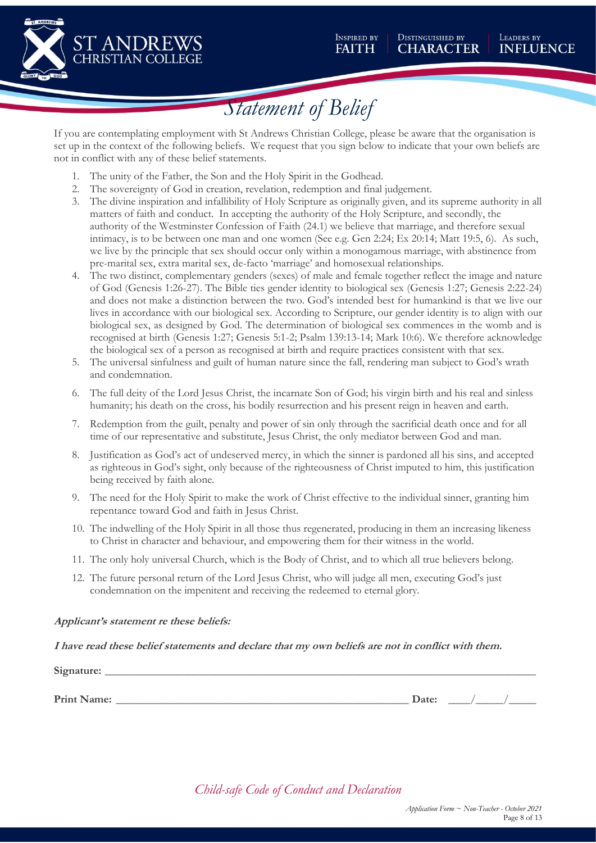

## *Statement of Belief*

If you are contemplating employment with St Andrews Christian College, please be aware that the organisation is set up in the context of the following beliefs. We request that you sign below to indicate that your own beliefs are not in conflict with any of these belief statements.

- 1. The unity of the Father, the Son and the Holy Spirit in the Godhead.
- 2. The sovereignty of God in creation, revelation, redemption and final judgement.
- 3. The divine inspiration and infallibility of Holy Scripture as originally given, and its supreme authority in all matters of faith and conduct. In accepting the authority of the Holy Scripture, and secondly, the authority of the Westminster Confession of Faith (24.1) we believe that marriage, and therefore sexual intimacy, is to be between one man and one women (See e.g. Gen 2:24; Ex 20:14; Matt 19:5, 6). As such, we live by the principle that sex should occur only within a monogamous marriage, with abstinence from pre-marital sex, extra marital sex, de-facto 'marriage' and homosexual relationships.
- 4. The two distinct, complementary genders (sexes) of male and female together reflect the image and nature of God (Genesis 1:26-27). The Bible ties gender identity to biological sex (Genesis 1:27; Genesis 2:22-24) and does not make a distinction between the two. God's intended best for humankind is that we live our lives in accordance with our biological sex. According to Scripture, our gender identity is to align with our biological sex, as designed by God. The determination of biological sex commences in the womb and is recognised at birth (Genesis 1:27; Genesis 5:1-2; Psalm 139:13-14; Mark 10:6). We therefore acknowledge the biological sex of a person as recognised at birth and require practices consistent with that sex.
- 5. The universal sinfulness and guilt of human nature since the fall, rendering man subject to God's wrath and condemnation.
- 6. The full deity of the Lord Jesus Christ, the incarnate Son of God; his virgin birth and his real and sinless humanity; his death on the cross, his bodily resurrection and his present reign in heaven and earth.
- 7. Redemption from the guilt, penalty and power of sin only through the sacrificial death once and for all time of our representative and substitute, Jesus Christ, the only mediator between God and man.
- 8. Justification as God's act of undeserved mercy, in which the sinner is pardoned all his sins, and accepted as righteous in God's sight, only because of the righteousness of Christ imputed to him, this justification being received by faith alone.
- 9. The need for the Holy Spirit to make the work of Christ effective to the individual sinner, granting him repentance toward God and faith in Jesus Christ.
- 10. The indwelling of the Holy Spirit in all those thus regenerated, producing in them an increasing likeness to Christ in character and behaviour, and empowering them for their witness in the world.
- 11. The only holy universal Church, which is the Body of Christ, and to which all true believers belong.
- 12. The future personal return of the Lord Jesus Christ, who will judge all men, executing God's just condemnation on the impenitent and receiving the redeemed to eternal glory.

#### **Applicant's statement re these beliefs:**

#### **I have read these belief statements and declare that my own beliefs are not in conflict with them.**

**Signature:** \_\_\_\_\_\_\_\_\_\_\_\_\_\_\_\_\_\_\_\_\_\_\_\_\_\_\_\_\_\_\_\_\_\_\_\_\_\_\_\_\_\_\_\_\_\_\_\_\_\_\_\_\_\_\_\_\_\_\_\_\_\_\_\_\_\_\_\_\_\_\_\_\_\_\_\_\_\_

**Print Name:**  $\qquad \qquad$  2 at example 2 at  $\qquad \qquad$  2 at example 2 at  $\qquad \qquad$  2 at example 2 at  $\qquad \qquad$  2 at example 2 at  $\qquad \qquad$  2 at example 2 at  $\qquad \qquad$  2 at  $\qquad \qquad$  2 at  $\qquad \qquad$  2 at  $\qquad \qquad$  2 at  $\qquad \qquad$  2 at  $\q$ 

*Child-safe Code of Conduct and Declaration*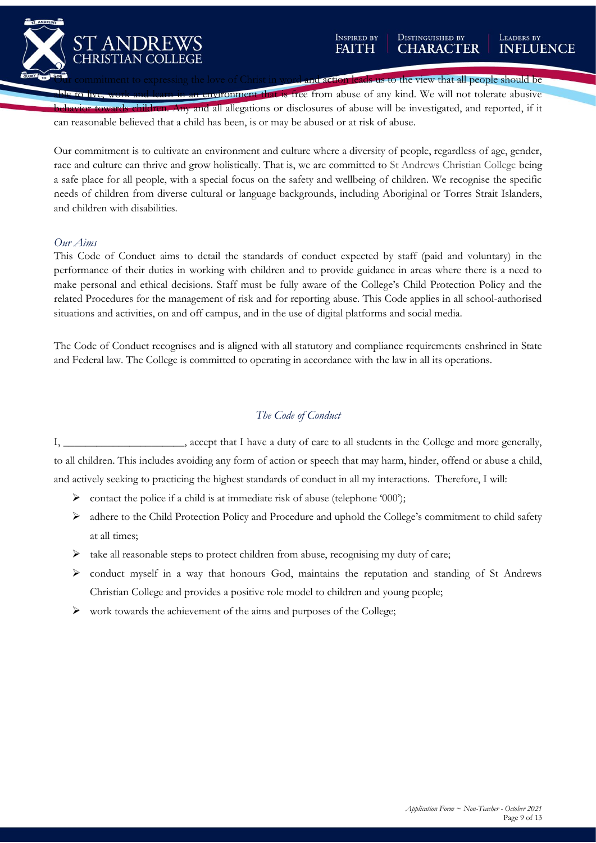

and action leads us to the view that all people should be

**In environment that is free from abuse of any kind. We will not tolerate abusive** behavior to the angle all allegations or disclosures of abuse will be investigated, and reported, if it can reasonable believed that a child has been, is or may be abused or at risk of abuse.

Our commitment is to cultivate an environment and culture where a diversity of people, regardless of age, gender, race and culture can thrive and grow holistically. That is, we are committed to St Andrews Christian College being a safe place for all people, with a special focus on the safety and wellbeing of children. We recognise the specific needs of children from diverse cultural or language backgrounds, including Aboriginal or Torres Strait Islanders, and children with disabilities.

#### *Our Aims*

This Code of Conduct aims to detail the standards of conduct expected by staff (paid and voluntary) in the performance of their duties in working with children and to provide guidance in areas where there is a need to make personal and ethical decisions. Staff must be fully aware of the College's Child Protection Policy and the related Procedures for the management of risk and for reporting abuse. This Code applies in all school-authorised situations and activities, on and off campus, and in the use of digital platforms and social media.

The Code of Conduct recognises and is aligned with all statutory and compliance requirements enshrined in State and Federal law. The College is committed to operating in accordance with the law in all its operations.

#### *The Code of Conduct*

I, \_\_\_\_\_\_\_\_\_\_\_\_\_\_\_\_\_\_\_\_\_\_, accept that I have a duty of care to all students in the College and more generally, to all children. This includes avoiding any form of action or speech that may harm, hinder, offend or abuse a child, and actively seeking to practicing the highest standards of conduct in all my interactions. Therefore, I will:

- ➢ contact the police if a child is at immediate risk of abuse (telephone '000');
- ➢ adhere to the Child Protection Policy and Procedure and uphold the College's commitment to child safety at all times;
- $\triangleright$  take all reasonable steps to protect children from abuse, recognising my duty of care;
- ➢ conduct myself in a way that honours God, maintains the reputation and standing of St Andrews Christian College and provides a positive role model to children and young people;
- ➢ work towards the achievement of the aims and purposes of the College;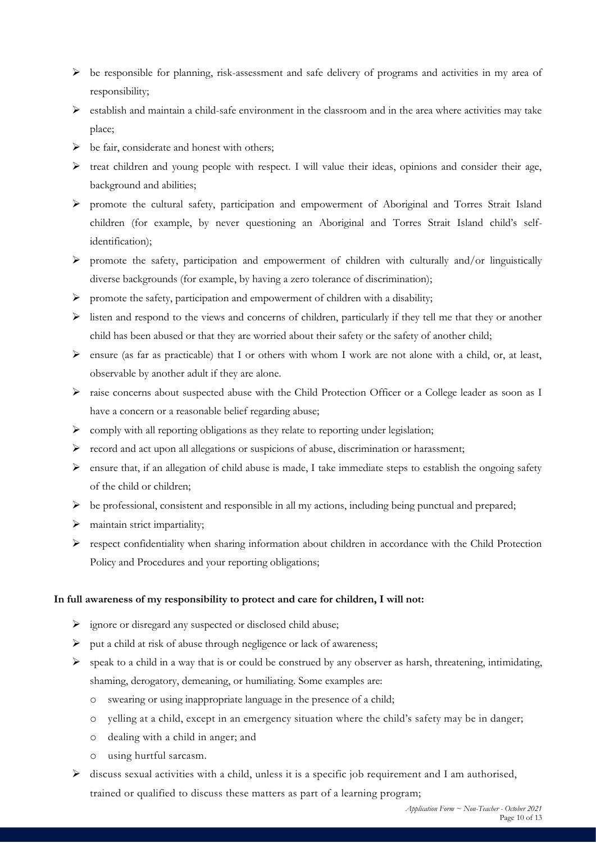- $\triangleright$  be responsible for planning, risk-assessment and safe delivery of programs and activities in my area of responsibility;
- $\triangleright$  establish and maintain a child-safe environment in the classroom and in the area where activities may take place;
- ➢ be fair, considerate and honest with others;
- ➢ treat children and young people with respect. I will value their ideas, opinions and consider their age, background and abilities;
- ➢ promote the cultural safety, participation and empowerment of Aboriginal and Torres Strait Island children (for example, by never questioning an Aboriginal and Torres Strait Island child's selfidentification);
- ➢ promote the safety, participation and empowerment of children with culturally and/or linguistically diverse backgrounds (for example, by having a zero tolerance of discrimination);
- ➢ promote the safety, participation and empowerment of children with a disability;
- ➢ listen and respond to the views and concerns of children, particularly if they tell me that they or another child has been abused or that they are worried about their safety or the safety of another child;
- $\triangleright$  ensure (as far as practicable) that I or others with whom I work are not alone with a child, or, at least, observable by another adult if they are alone.
- ➢ raise concerns about suspected abuse with the Child Protection Officer or a College leader as soon as I have a concern or a reasonable belief regarding abuse;
- $\triangleright$  comply with all reporting obligations as they relate to reporting under legislation;
- ➢ record and act upon all allegations or suspicions of abuse, discrimination or harassment;
- ➢ ensure that, if an allegation of child abuse is made, I take immediate steps to establish the ongoing safety of the child or children;
- $\triangleright$  be professional, consistent and responsible in all my actions, including being punctual and prepared;
- ➢ maintain strict impartiality;
- ➢ respect confidentiality when sharing information about children in accordance with the Child Protection Policy and Procedures and your reporting obligations;

#### **In full awareness of my responsibility to protect and care for children, I will not:**

- ➢ ignore or disregard any suspected or disclosed child abuse;
- ➢ put a child at risk of abuse through negligence or lack of awareness;
- ➢ speak to a child in a way that is or could be construed by any observer as harsh, threatening, intimidating, shaming, derogatory, demeaning, or humiliating. Some examples are:
	- o swearing or using inappropriate language in the presence of a child;
	- o yelling at a child, except in an emergency situation where the child's safety may be in danger;
	- o dealing with a child in anger; and
	- o using hurtful sarcasm.
- ➢ discuss sexual activities with a child, unless it is a specific job requirement and I am authorised, trained or qualified to discuss these matters as part of a learning program;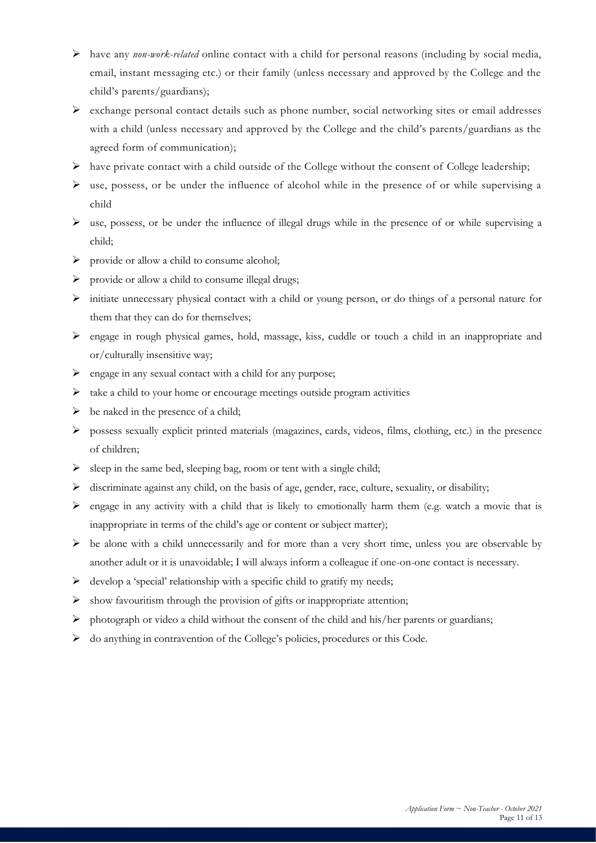- ➢ have any *non-work-related* online contact with a child for personal reasons (including by social media, email, instant messaging etc.) or their family (unless necessary and approved by the College and the child's parents/guardians);
- $\triangleright$  exchange personal contact details such as phone number, social networking sites or email addresses with a child (unless necessary and approved by the College and the child's parents/guardians as the agreed form of communication);
- $\triangleright$  have private contact with a child outside of the College without the consent of College leadership;
- ➢ use, possess, or be under the influence of alcohol while in the presence of or while supervising a child
- ➢ use, possess, or be under the influence of illegal drugs while in the presence of or while supervising a child;
- ➢ provide or allow a child to consume alcohol;
- ➢ provide or allow a child to consume illegal drugs;
- ➢ initiate unnecessary physical contact with a child or young person, or do things of a personal nature for them that they can do for themselves;
- ➢ engage in rough physical games, hold, massage, kiss, cuddle or touch a child in an inappropriate and or/culturally insensitive way;
- $\triangleright$  engage in any sexual contact with a child for any purpose;
- ➢ take a child to your home or encourage meetings outside program activities
- $\triangleright$  be naked in the presence of a child;
- ➢ possess sexually explicit printed materials (magazines, cards, videos, films, clothing, etc.) in the presence of children;
- $\triangleright$  sleep in the same bed, sleeping bag, room or tent with a single child;
- ➢ discriminate against any child, on the basis of age, gender, race, culture, sexuality, or disability;
- $\triangleright$  engage in any activity with a child that is likely to emotionally harm them (e.g. watch a movie that is inappropriate in terms of the child's age or content or subject matter);
- ➢ be alone with a child unnecessarily and for more than a very short time, unless you are observable by another adult or it is unavoidable; I will always inform a colleague if one-on-one contact is necessary.
- $\triangleright$  develop a 'special' relationship with a specific child to gratify my needs;
- $\triangleright$  show favouritism through the provision of gifts or inappropriate attention;
- ➢ photograph or video a child without the consent of the child and his/her parents or guardians;
- ➢ do anything in contravention of the College's policies, procedures or this Code.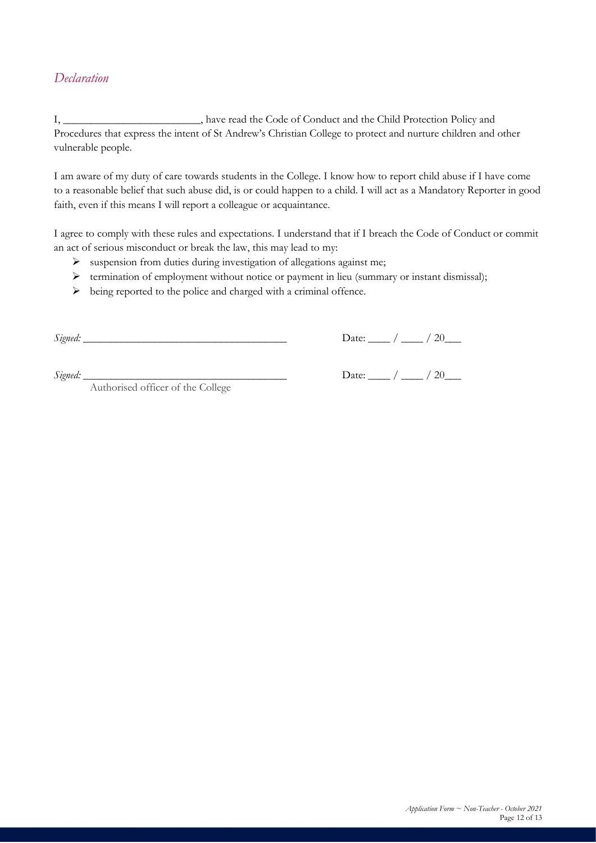#### *Declaration*

I, \_\_\_\_\_\_\_\_\_\_\_\_\_\_\_\_\_\_\_\_\_\_\_\_\_, have read the Code of Conduct and the Child Protection Policy and Procedures that express the intent of St Andrew's Christian College to protect and nurture children and other vulnerable people.

I am aware of my duty of care towards students in the College. I know how to report child abuse if I have come to a reasonable belief that such abuse did, is or could happen to a child. I will act as a Mandatory Reporter in good faith, even if this means I will report a colleague or acquaintance.

I agree to comply with these rules and expectations. I understand that if I breach the Code of Conduct or commit an act of serious misconduct or break the law, this may lead to my:

- ➢ suspension from duties during investigation of allegations against me;
- ➢ termination of employment without notice or payment in lieu (summary or instant dismissal);
- ➢ being reported to the police and charged with a criminal offence.

*Signed:* \_\_\_\_\_\_\_\_\_\_\_\_\_\_\_\_\_\_\_\_\_\_\_\_\_\_\_\_\_\_\_\_\_\_\_\_\_ Date: \_\_\_\_ / \_\_\_\_ / 20\_\_\_

*Signed:* \_\_\_\_\_\_\_\_\_\_\_\_\_\_\_\_\_\_\_\_\_\_\_\_\_\_\_\_\_\_\_\_\_\_\_\_\_ Date: \_\_\_\_ / \_\_\_\_ / 20\_\_\_

Authorised officer of the College